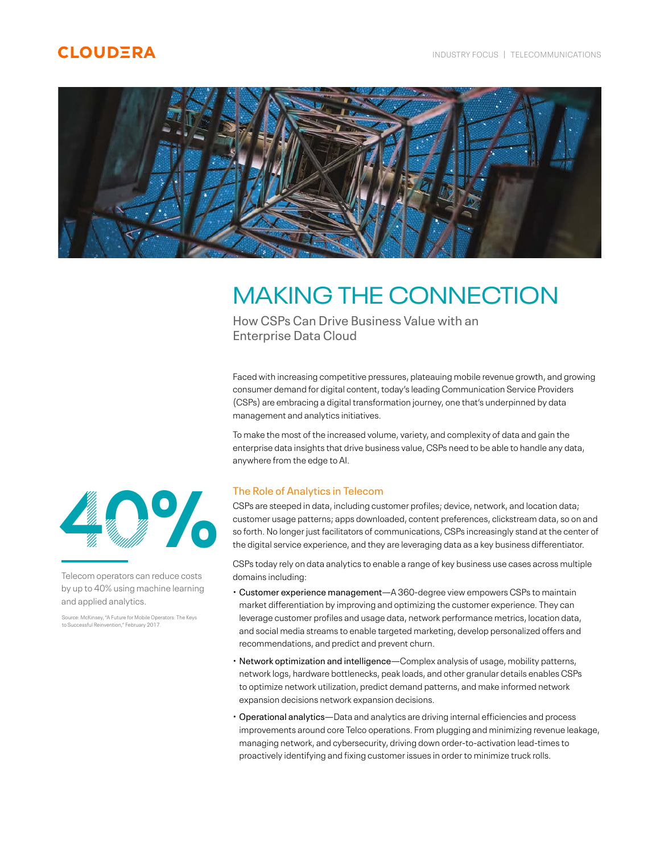# **CLOUDERA**



# MAKING THE CONNECTION

How CSPs Can Drive Business Value with an Enterprise Data Cloud

Faced with increasing competitive pressures, plateauing mobile revenue growth, and growing consumer demand for digital content, today's leading Communication Service Providers (CSPs) are embracing a digital transformation journey, one that's underpinned by data management and analytics initiatives.

To make the most of the increased volume, variety, and complexity of data and gain the enterprise data insights that drive business value, CSPs need to be able to handle any data, anywhere from the edge to AI.

## The Role of Analytics in Telecom

CSPs are steeped in data, including customer profiles; device, network, and location data; customer usage patterns; apps downloaded, content preferences, clickstream data, so on and so forth. No longer just facilitators of communications, CSPs increasingly stand at the center of the digital service experience, and they are leveraging data as a key business differentiator.

CSPs today rely on data analytics to enable a range of key business use cases across multiple domains including:

- Customer experience management—A 360-degree view empowers CSPs to maintain market differentiation by improving and optimizing the customer experience. They can leverage customer profiles and usage data, network performance metrics, location data, and social media streams to enable targeted marketing, develop personalized offers and recommendations, and predict and prevent churn.
- Network optimization and intelligence—Complex analysis of usage, mobility patterns, network logs, hardware bottlenecks, peak loads, and other granular details enables CSPs to optimize network utilization, predict demand patterns, and make informed network expansion decisions network expansion decisions.
- Operational analytics—Data and analytics are driving internal efficiencies and process improvements around core Telco operations. From plugging and minimizing revenue leakage, managing network, and cybersecurity, driving down order-to-activation lead-times to proactively identifying and fixing customer issues in order to minimize truck rolls.



Telecom operators can reduce costs by up to 40% using machine learning and applied analytics.

Source: McKinsey, "A Future for Mobile Operators: The Keys to Successful Reinvention," February 2017.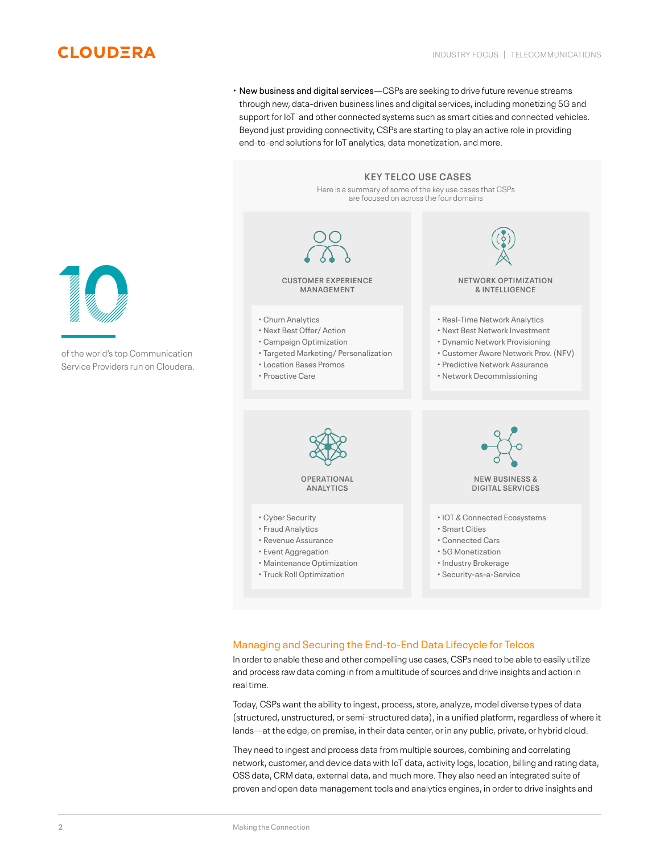

• New business and digital services—CSPs are seeking to drive future revenue streams through new, data-driven business lines and digital services, including monetizing 5G and support for IoT and other connected systems such as smart cities and connected vehicles. Beyond just providing connectivity, CSPs are starting to play an active role in providing end-to-end solutions for IoT analytics, data monetization, and more.



### Managing and Securing the End-to-End Data Lifecycle for Telcos

In order to enable these and other compelling use cases, CSPs need to be able to easily utilize and process raw data coming in from a multitude of sources and drive insights and action in real time.

Today, CSPs want the ability to ingest, process, store, analyze, model diverse types of data (structured, unstructured, or semi-structured data), in a unified platform, regardless of where it lands—at the edge, on premise, in their data center, or in any public, private, or hybrid cloud.

They need to ingest and process data from multiple sources, combining and correlating network, customer, and device data with IoT data, activity logs, location, billing and rating data, OSS data, CRM data, external data, and much more. They also need an integrated suite of proven and open data management tools and analytics engines, in order to drive insights and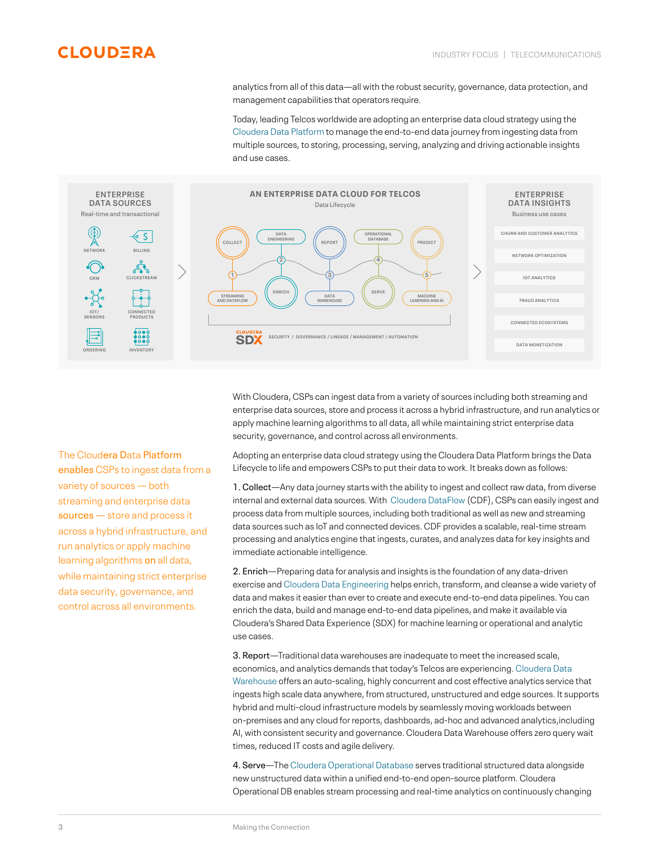analytics from all of this data—all with the robust security, governance, data protection, and management capabilities that operators require.

Today, leading Telcos worldwide are adopting an enterprise data cloud strategy using the [Cloudera Data Platform](https://www.cloudera.com/products/cloudera-data-platform.html) to manage the end-to-end data journey from ingesting data from multiple sources, to storing, processing, serving, analyzing and driving actionable insights and use cases.



With Cloudera, CSPs can ingest data from a variety of sources including both streaming and enterprise data sources, store and process it across a hybrid infrastructure, and run analytics or apply machine learning algorithms to all data, all while maintaining strict enterprise data security, governance, and control across all environments.

Adopting an enterprise data cloud strategy using the Cloudera Data Platform brings the Data Lifecycle to life and empowers CSPs to put their data to work. It breaks down as follows:

1. Collect—Any data journey starts with the ability to ingest and collect raw data, from diverse internal and external data sources. With [Cloudera DataFlow](https://www.cloudera.com/products/cdf.html) (CDF), CSPs can easily ingest and process data from multiple sources, including both traditional as well as new and streaming data sources such as IoT and connected devices. CDF provides a scalable, real-time stream processing and analytics engine that ingests, curates, and analyzes data for key insights and immediate actionable intelligence.

2. Enrich—Preparing data for analysis and insights is the foundation of any data-driven exercise and [Cloudera Data Engineering](https://www.cloudera.com/products/data-science-and-engineering/data-engineering.html) helps enrich, transform, and cleanse a wide variety of data and makes it easier than ever to create and execute end-to-end data pipelines. You can enrich the data, build and manage end-to-end data pipelines, and make it available via Cloudera's Shared Data Experience (SDX) for machine learning or operational and analytic use cases.

3. Report—Traditional data warehouses are inadequate to meet the increased scale, economics, and analytics demands that today's Telcos are experiencing. [Cloudera Data](https://www.cloudera.com/products/data-warehouse.html)  [Warehouse](https://www.cloudera.com/products/data-warehouse.html) offers an auto-scaling, highly concurrent and cost effective analytics service that ingests high scale data anywhere, from structured, unstructured and edge sources. It supports hybrid and multi-cloud infrastructure models by seamlessly moving workloads between on-premises and any cloud for reports, dashboards, ad-hoc and advanced analytics,including AI, with consistent security and governance. Cloudera Data Warehouse offers zero query wait times, reduced IT costs and agile delivery.

4. Serve—The [Cloudera Operational Database](https://www.cloudera.com/products/operational-db.html) serves traditional structured data alongside new unstructured data within a unified end-to-end open-source platform. Cloudera Operational DB enables stream processing and real-time analytics on continuously changing

The Cloudera Data Platform enables CSPs to ingest data from a variety of sources — both streaming and enterprise data sources – store and process it across a hybrid infrastructure, and run analytics or apply machine learning algorithms on all data, while maintaining strict enterprise data security, governance, and control across all environments.